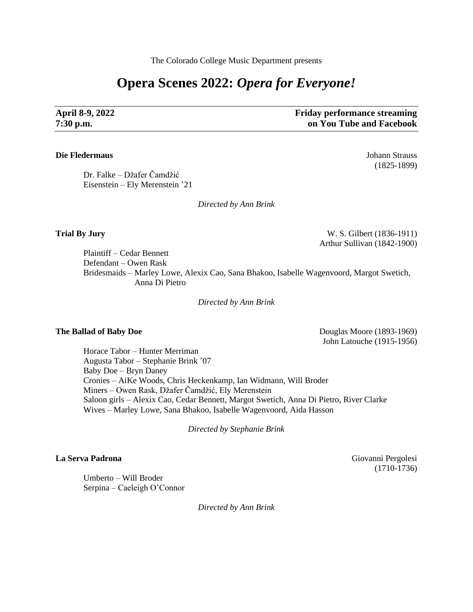The Colorado College Music Department presents

# **Opera Scenes 2022:** *Opera for Everyone!*

**April 8-9, 2022 Friday performance streaming 7:30 p.m. on You Tube and Facebook**

### **Die Fledermaus** Johann Strauss

Dr. Falke – Džafer Čamdžić Eisenstein – Ely Merenstein '21

*Directed by Ann Brink*

**Trial By Jury** W. S. Gilbert (1836-1911) Arthur Sullivan (1842-1900)

Plaintiff – Cedar Bennett Defendant – Owen Rask Bridesmaids – Marley Lowe, Alexix Cao, Sana Bhakoo, Isabelle Wagenvoord, Margot Swetich, Anna Di Pietro

*Directed by Ann Brink*

**The Ballad of Baby Doe** Douglas Moore (1893-1969) John Latouche (1915-1956)

Horace Tabor – Hunter Merriman Augusta Tabor – Stephanie Brink '07 Baby Doe – Bryn Daney Cronies – AiKe Woods, Chris Heckenkamp, Ian Widmann, Will Broder Miners – Owen Rask, Džafer Čamdžić, Ely Merenstein Saloon girls – Alexix Cao, Cedar Bennett, Margot Swetich, Anna Di Pietro, River Clarke Wives – Marley Lowe, Sana Bhakoo, Isabelle Wagenvoord, Aida Hasson

*Directed by Stephanie Brink*

Umberto – Will Broder Serpina – Caeleigh O'Connor

*Directed by Ann Brink*

La Serva Padrona **Giovanni Pergolesi** (1710-1736)

(1825-1899)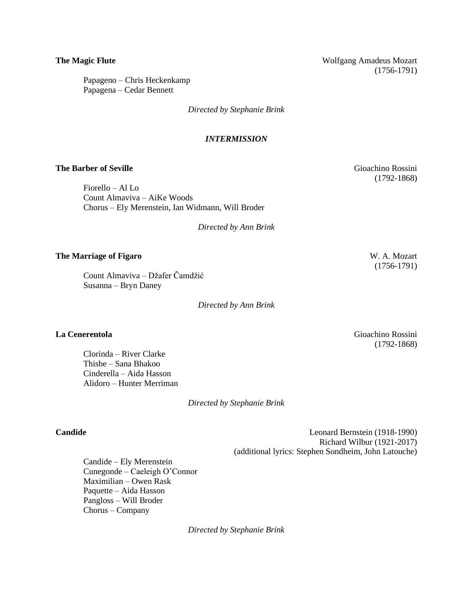**The Magic Flute** Wolfgang Amadeus Mozart (1756-1791)

Papageno – Chris Heckenkamp Papagena – Cedar Bennett

*Directed by Stephanie Brink*

### *INTERMISSION*

### **The Barber of Seville** Gioachino Rossini

Fiorello – Al Lo Count Almaviva – AiKe Woods Chorus – Ely Merenstein, Ian Widmann, Will Broder

*Directed by Ann Brink*

### **The Marriage of Figaro** W. A. Mozart

Count Almaviva – Džafer Čamdžić Susanna – Bryn Daney

*Directed by Ann Brink*

Clorinda – River Clarke Thisbe – Sana Bhakoo Cinderella – Aida Hasson Alidoro – Hunter Merriman

*Directed by Stephanie Brink*

**Candide** Leonard Bernstein (1918-1990) Richard Wilbur (1921-2017) (additional lyrics: Stephen Sondheim, John Latouche)

Candide – Ely Merenstein Cunegonde – Caeleigh O'Connor Maximilian – Owen Rask Paquette – Aida Hasson Pangloss – Will Broder Chorus – Company

*Directed by Stephanie Brink*

(1756-1791)

**La Cenerentola** Gioachino Rossini (1792-1868)

(1792-1868)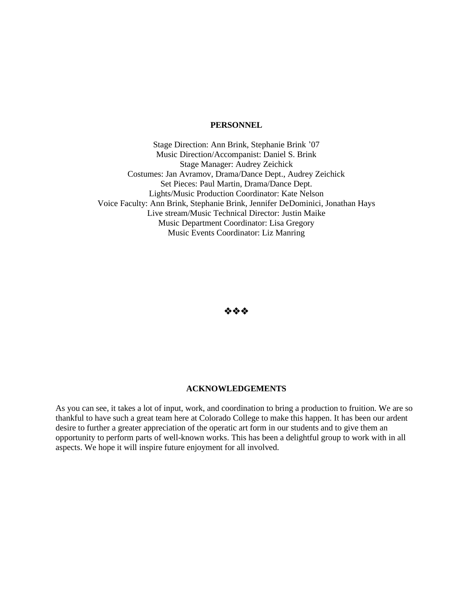### **PERSONNEL**

Stage Direction: Ann Brink, Stephanie Brink '07 Music Direction/Accompanist: Daniel S. Brink Stage Manager: Audrey Zeichick Costumes: Jan Avramov, Drama/Dance Dept., Audrey Zeichick Set Pieces: Paul Martin, Drama/Dance Dept. Lights/Music Production Coordinator: Kate Nelson Voice Faculty: Ann Brink, Stephanie Brink, Jennifer DeDominici, Jonathan Hays Live stream/Music Technical Director: Justin Maike Music Department Coordinator: Lisa Gregory Music Events Coordinator: Liz Manring

❖❖❖

### **ACKNOWLEDGEMENTS**

As you can see, it takes a lot of input, work, and coordination to bring a production to fruition. We are so thankful to have such a great team here at Colorado College to make this happen. It has been our ardent desire to further a greater appreciation of the operatic art form in our students and to give them an opportunity to perform parts of well-known works. This has been a delightful group to work with in all aspects. We hope it will inspire future enjoyment for all involved.